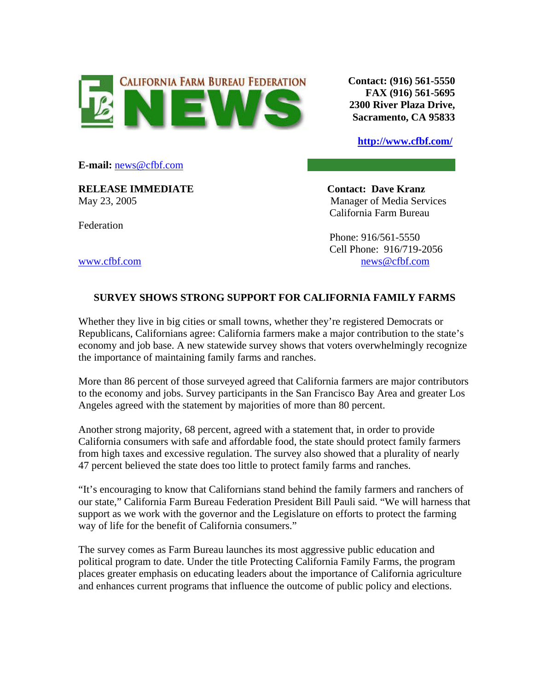

**Contact: (916) 561-5550 FAX (916) 561-5695 2300 River Plaza Drive, Sacramento, CA 95833**

**<http://www.cfbf.com/>**

**E-mail:** [news@cfbf.com](mailto:news@cfbf.com)

**RELEASE IMMEDIATE Contact: Dave Kranz**

Federation

May 23, 2005 Manager of Media Services California Farm Bureau

 Phone: 916/561-5550 Cell Phone: 916/719-2056 [www.cfbf.com](http://www.cfbf.com/) [news@cfbf.com](mailto:news@cfbf.com)

## **SURVEY SHOWS STRONG SUPPORT FOR CALIFORNIA FAMILY FARMS**

Whether they live in big cities or small towns, whether they're registered Democrats or Republicans, Californians agree: California farmers make a major contribution to the state's economy and job base. A new statewide survey shows that voters overwhelmingly recognize the importance of maintaining family farms and ranches.

More than 86 percent of those surveyed agreed that California farmers are major contributors to the economy and jobs. Survey participants in the San Francisco Bay Area and greater Los Angeles agreed with the statement by majorities of more than 80 percent.

Another strong majority, 68 percent, agreed with a statement that, in order to provide California consumers with safe and affordable food, the state should protect family farmers from high taxes and excessive regulation. The survey also showed that a plurality of nearly 47 percent believed the state does too little to protect family farms and ranches.

"It's encouraging to know that Californians stand behind the family farmers and ranchers of our state," California Farm Bureau Federation President Bill Pauli said. "We will harness that support as we work with the governor and the Legislature on efforts to protect the farming way of life for the benefit of California consumers."

The survey comes as Farm Bureau launches its most aggressive public education and political program to date. Under the title Protecting California Family Farms, the program places greater emphasis on educating leaders about the importance of California agriculture and enhances current programs that influence the outcome of public policy and elections.